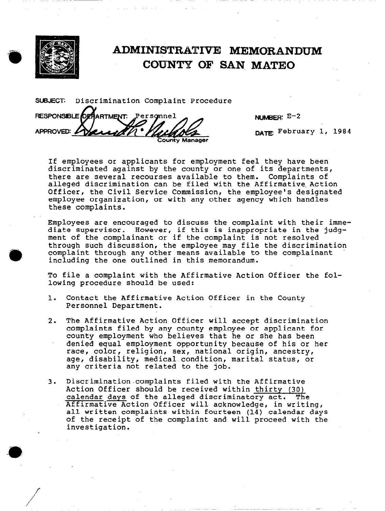

APPROVED:

RESPONSIBLE DEFARTMENT.

## ADMINISTRATIVE MEMORANDUM COUNTY OF SAN. MATE0

SUBJECT: Discrimination Complaint Procedure

Personnel

NUMBER: E-2

DATE February 1, 1984

If employees or applicants for employment feel they have been discriminated against by the county or one of its departments, there are several recourses available to them. Complaints of alleged discrimination can be filed with the Affirmative Action Officer, the Civil Service Commission, the employee's designated employee organization, or with any other agency which handles these complaints.

County Manager

Employees are encouraged to discuss the complaint with their immediate supervisor. However, if this is inappropriate in the judgment of the complainant or if the complaint is not resolved through such discussion, the employee may file the discrimination complaint through any other means available to the complainant including the one outlined in this memorandum.

To file a complaint with the Affirmative Action Officer the following procedure should be used:

- 1. Contact the Affirmative Action Officer in the County Personnel Department.
- 2. The Affirmative Action Officer will accept discrimination complaints filed by any county employee or applicant for county employment who believes that he or she has been denied equal employment opportunity because of his or her race, color, religion, sex, national origin, ancestry, age, disability, medical condition, marital status, or any criteria not related to the job.
- 3. Discrimination.complaints filed with the Affirmative Action Officer should be received within thirty (30) calendar days of the alleged discriminatory act. The Affirmative Action Officer will acknowledge, in writing, all written complaints within fourteen (14) calendar days of the receipt of the complaint and will proceed with the investigation.